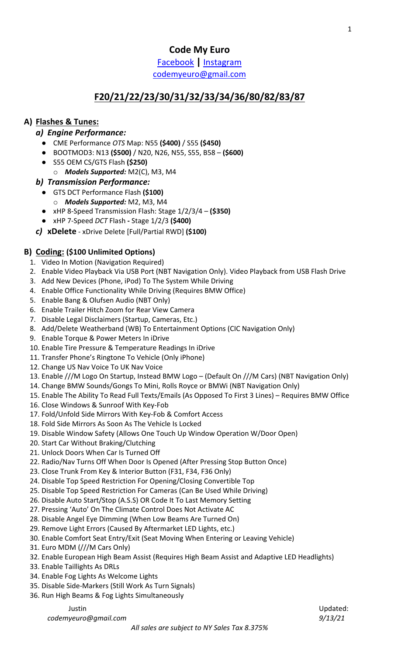**Code My Euro**

Facebook **|** Instagram codemyeuro@gmail.com

# **F20/21/22/23/30/31/32/33/34/36/80/82/83/87**

## **A) Flashes & Tunes:**

## *a) Engine Performance:*

- CME Performance *OTS* Map: N55 **(\$400)** / S55 **(\$450)**
- BOOTMOD3: N13 **(\$500)** / N20, N26, N55, S55, B58 **(\$600)**
- S55 OEM CS/GTS Flash **(\$250)**
	- o *Models Supported:* M2(C), M3, M4

### *b) Transmission Performance:*

- GTS DCT Performance Flash **(\$100)**
	- o *Models Supported:* M2, M3, M4
- xHP 8-Speed Transmission Flash: Stage 1/2/3/4 **(\$350)**
- xHP 7-Speed *DCT* Flash **-** Stage 1/2/3 **(\$400)**
- *c)* **xDelete** xDrive Delete [Full/Partial RWD] **(\$100)**

## **B) Coding: (\$100 Unlimited Options)**

- 1. Video In Motion (Navigation Required)
- 2. Enable Video Playback Via USB Port (NBT Navigation Only). Video Playback from USB Flash Drive
- 3. Add New Devices (Phone, iPod) To The System While Driving
- 4. Enable Office Functionality While Driving (Requires BMW Office)
- 5. Enable Bang & Olufsen Audio (NBT Only)
- 6. Enable Trailer Hitch Zoom for Rear View Camera
- 7. Disable Legal Disclaimers (Startup, Cameras, Etc.)
- 8. Add/Delete Weatherband (WB) To Entertainment Options (CIC Navigation Only)
- 9. Enable Torque & Power Meters In iDrive
- 10. Enable Tire Pressure & Temperature Readings In iDrive
- 11. Transfer Phone's Ringtone To Vehicle (Only iPhone)
- 12. Change US Nav Voice To UK Nav Voice
- 13. Enable ///M Logo On Startup, Instead BMW Logo (Default On ///M Cars) (NBT Navigation Only)
- 14. Change BMW Sounds/Gongs To Mini, Rolls Royce or BMWi (NBT Navigation Only)
- 15. Enable The Ability To Read Full Texts/Emails (As Opposed To First 3 Lines) Requires BMW Office
- 16. Close Windows & Sunroof With Key-Fob
- 17. Fold/Unfold Side Mirrors With Key-Fob & Comfort Access
- 18. Fold Side Mirrors As Soon As The Vehicle Is Locked
- 19. Disable Window Safety (Allows One Touch Up Window Operation W/Door Open)
- 20. Start Car Without Braking/Clutching
- 21. Unlock Doors When Car Is Turned Off
- 22. Radio/Nav Turns Off When Door Is Opened (After Pressing Stop Button Once)
- 23. Close Trunk From Key & Interior Button (F31, F34, F36 Only)
- 24. Disable Top Speed Restriction For Opening/Closing Convertible Top
- 25. Disable Top Speed Restriction For Cameras (Can Be Used While Driving)
- 26. Disable Auto Start/Stop (A.S.S) OR Code It To Last Memory Setting
- 27. Pressing 'Auto' On The Climate Control Does Not Activate AC
- 28. Disable Angel Eye Dimming (When Low Beams Are Turned On)
- 29. Remove Light Errors (Caused By Aftermarket LED Lights, etc.)
- 30. Enable Comfort Seat Entry/Exit (Seat Moving When Entering or Leaving Vehicle)
- 31. Euro MDM (///M Cars Only)
- 32. Enable European High Beam Assist (Requires High Beam Assist and Adaptive LED Headlights)
- 33. Enable Taillights As DRLs
- 34. Enable Fog Lights As Welcome Lights
- 35. Disable Side-Markers (Still Work As Turn Signals)
- 36. Run High Beams & Fog Lights Simultaneously